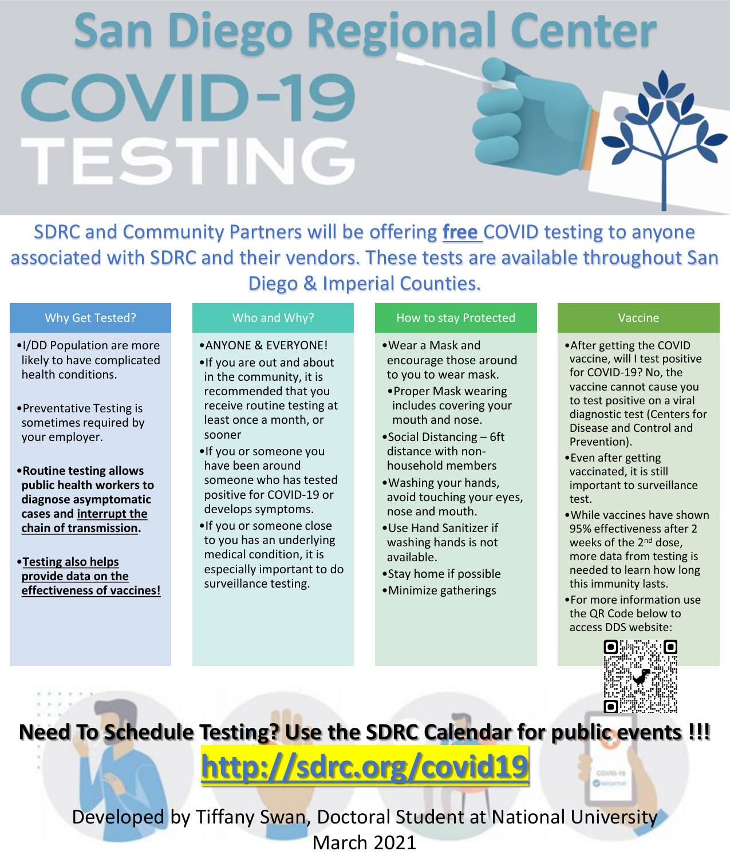## **San Diego Regional Center COVID-19** TESTING

SDRC and Community Partners will be offering **free** COVID testing to anyone associated with SDRC and their vendors. These tests are available throughout San Diego & Imperial Counties.

#### Why Get Tested?

- •I/DD Population are more likely to have complicated health conditions.
- •Preventative Testing is sometimes required by your employer.
- •**Routine testing allows public health workers to diagnose asymptomatic cases and interrupt the chain of transmission.**
- •**Testing also helps provide data on the effectiveness of vaccines!**

#### Who and Why?

- •ANYONE & EVERYONE!
- •If you are out and about in the community, it is recommended that you receive routine testing at least once a month, or sooner
- •If you or someone you have been around someone who has tested positive for COVID-19 or develops symptoms.
- •If you or someone close to you has an underlying medical condition, it is especially important to do surveillance testing.

#### How to stay Protected

- •Wear a Mask and encourage those around to you to wear mask.
- •Proper Mask wearing includes covering your mouth and nose.
- •Social Distancing 6ft distance with nonhousehold members
- •Washing your hands, avoid touching your eyes, nose and mouth.
- •Use Hand Sanitizer if washing hands is not available.
- •Stay home if possible
- •Minimize gatherings

#### Vaccine

- •After getting the COVID vaccine, will I test positive for COVID-19? No, the vaccine cannot cause you to test positive on a viral diagnostic test (Centers for Disease and Control and Prevention).
- •Even after getting vaccinated, it is still important to surveillance test.
- •While vaccines have shown 95% effectiveness after 2 weeks of the 2<sup>nd</sup> dose, more data from testing is needed to learn how long this immunity lasts.
- •For more information use the QR Code below to access DDS website:



COVID-19 Bussmith

**Need To Schedule Testing? Use the SDRC Calendar for public events !!!**

### **<http://sdrc.org/covid19>**

Developed by Tiffany Swan, Doctoral Student at National University March 2021